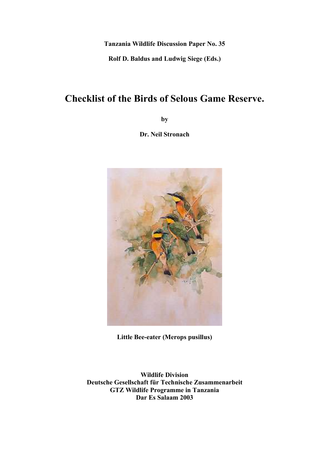**Tanzania Wildlife Discussion Paper No. 35**

**Rolf D. Baldus and Ludwig Siege (Eds.)**

# **Checklist of the Birds of Selous Game Reserve.**

**by**

**Dr. Neil Stronach**



**Little Bee-eater (Merops pusillus)**

**Wildlife Division Deutsche Gesellschaft für Technische Zusammenarbeit GTZ Wildlife Programme in Tanzania Dar Es Salaam 2003**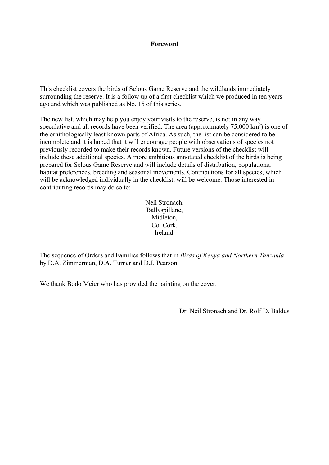#### **Foreword**

This checklist covers the birds of Selous Game Reserve and the wildlands immediately surrounding the reserve. It is a follow up of a first checklist which we produced in ten years ago and which was published as No. 15 of this series.

The new list, which may help you enjoy your visits to the reserve, is not in any way speculative and all records have been verified. The area (approximately  $75,000 \text{ km}^2$ ) is one of the ornithologically least known parts of Africa. As such, the list can be considered to be incomplete and it is hoped that it will encourage people with observations of species not previously recorded to make their records known. Future versions of the checklist will include these additional species. A more ambitious annotated checklist of the birds is being prepared for Selous Game Reserve and will include details of distribution, populations, habitat preferences, breeding and seasonal movements. Contributions for all species, which will be acknowledged individually in the checklist, will be welcome. Those interested in contributing records may do so to:

> Neil Stronach, Ballyspillane, Midleton, Co. Cork, Ireland.

The sequence of Orders and Families follows that in *Birds of Kenya and Northern Tanzania* by D.A. Zimmerman, D.A. Turner and D.J. Pearson.

We thank Bodo Meier who has provided the painting on the cover.

Dr. Neil Stronach and Dr. Rolf D. Baldus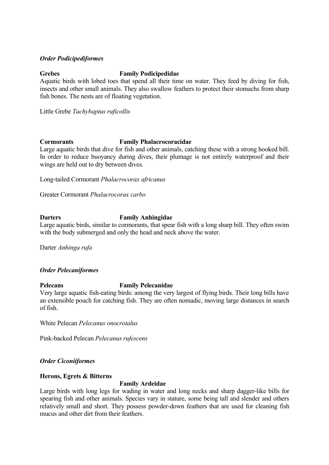### *Order Podicipediformes*

## **Grebes Family Podicipedidae**

Aquatic birds with lobed toes that spend all their time on water. They feed by diving for fish, insects and other small animals. They also swallow feathers to protect their stomachs from sharp fish bones. The nests are of floating vegetation.

Little Grebe *Tachybaptus ruficollis*

### **Cormorants Family Phalacrocoracidae**

Large aquatic birds that dive for fish and other animals, catching these with a strong hooked bill. In order to reduce buoyancy during dives, their plumage is not entirely waterproof and their wings are held out to dry between dives.

Long-tailed Cormorant *Phalacrocorax africanus*

Greater Cormorant *Phalacrocorax carbo*

## **Darters Family Anhingidae**

Large aquatic birds, similar to cormorants, that spear fish with a long sharp bill. They often swim with the body submerged and only the head and neck above the water.

Darter *Anhinga rufa*

## *Order Pelecaniformes*

## **Pelecans Family Pelecanidae**

Very large aquatic fish-eating birds: among the very largest of flying birds. Their long bills have an extensible pouch for catching fish. They are often nomadic, moving large distances in search of fish.

White Pelecan *Pelecanus onocrotalus*

Pink-backed Pelecan *Pelecanus rufescens*

## *Order Ciconiiformes*

#### **Herons, Egrets & Bitterns**

#### **Family Ardeidae**

Large birds with long legs for wading in water and long necks and sharp dagger-like bills for spearing fish and other animals. Species vary in stature, some being tall and slender and others relatively small and short. They possess powder-down feathers that are used for cleaning fish mucus and other dirt from their feathers.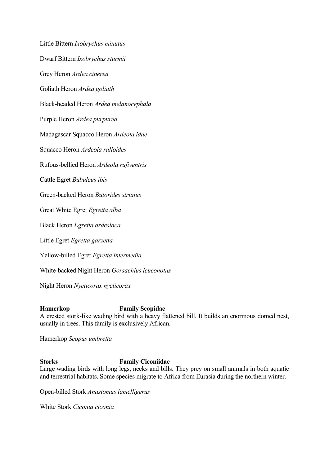Little Bittern *Ixobrychus minutus* Dwarf Bittern *Ixobrychus sturmii* Grey Heron *Ardea cinerea* Goliath Heron *Ardea goliath* Black-headed Heron *Ardea melanocephala* Purple Heron *Ardea purpurea* Madagascar Squacco Heron *Ardeola idae* Squacco Heron *Ardeola ralloides* Rufous-bellied Heron *Ardeola rufiventris* Cattle Egret *Bubulcus ibis* Green-backed Heron *Butorides striatus* Great White Egret *Egretta alba* Black Heron *Egretta ardesiaca* Little Egret *Egretta garzetta* Yellow-billed Egret *Egretta intermedia*

White-backed Night Heron *Gorsachius leuconotus*

Night Heron *Nycticorax nycticorax*

## **Hamerkop Family Scopidae**

A crested stork-like wading bird with a heavy flattened bill. It builds an enormous domed nest, usually in trees. This family is exclusively African.

Hamerkop *Scopus umbretta*

## **Storks Family Ciconiidae**

Large wading birds with long legs, necks and bills. They prey on small animals in both aquatic and terrestrial habitats. Some species migrate to Africa from Eurasia during the northern winter.

Open-billed Stork *Anastomus lamelligerus*

White Stork *Ciconia ciconia*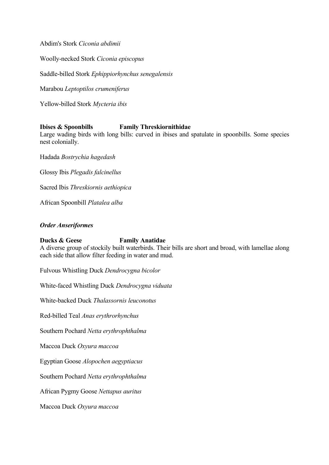Abdim's Stork *Ciconia abdimii*

Woolly-necked Stork *Ciconia episcopus*

Saddle-billed Stork *Ephippiorhynchus senegalensis*

Marabou *Leptoptilos crumeniferus*

Yellow-billed Stork *Mycteria ibis*

### **Ibises & Spoonbills Family Threskiornithidae**

Large wading birds with long bills: curved in ibises and spatulate in spoonbills. Some species nest colonially.

Hadada *Bostrychia hagedash*

Glossy Ibis *Plegadis falcinellus*

Sacred Ibis *Threskiornis aethiopica*

African Spoonbill *Platalea alba*

#### *Order Anseriformes*

## **Ducks & Geese Family Anatidae**

A diverse group of stockily built waterbirds. Their bills are short and broad, with lamellae along each side that allow filter feeding in water and mud.

Fulvous Whistling Duck *Dendrocygna bicolor*

White-faced Whistling Duck *Dendrocygna viduata*

White-backed Duck *Thalassornis leuconotus*

Red-billed Teal *Anas erythrorhynchus*

Southern Pochard *Netta erythrophthalma*

Maccoa Duck *Oxyura maccoa*

Egyptian Goose *Alopochen aegyptiacus*

Southern Pochard *Netta erythrophthalma*

African Pygmy Goose *Nettapus auritus*

Maccoa Duck *Oxyura maccoa*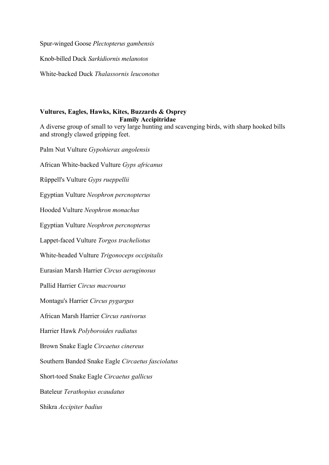Spur-winged Goose *Plectopterus gambensis*

Knob-billed Duck *Sarkidiornis melanotos*

White-backed Duck *Thalassornis leuconotus*

## **Vultures, Eagles, Hawks, Kites, Buzzards & Osprey Family Accipitridae**

A diverse group of small to very large hunting and scavenging birds, with sharp hooked bills and strongly clawed gripping feet.

Palm Nut Vulture *Gypohierax angolensis*

African White-backed Vulture *Gyps africanus* Rüppell's Vulture *Gyps rueppellii* Egyptian Vulture *Neophron percnopterus* Hooded Vulture *Neophron monachus* Egyptian Vulture *Neophron percnopterus* Lappet-faced Vulture *Torgos tracheliotus* White-headed Vulture *Trigonoceps occipitalis* Eurasian Marsh Harrier *Circus aeruginosus* Pallid Harrier *Circus macrourus* Montagu's Harrier *Circus pygargus* African Marsh Harrier *Circus ranivorus* Harrier Hawk *Polyboroides radiatus* Brown Snake Eagle *Circaetus cinereus* Southern Banded Snake Eagle *Circaetus fasciolatus* Short-toed Snake Eagle *Circaetus gallicus* Bateleur *Terathopius ecaudatus* Shikra *Accipiter badius*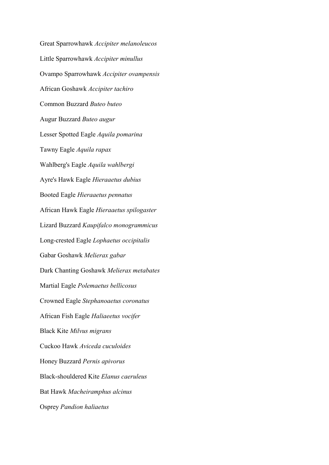Great Sparrowhawk *Accipiter melanoleucos* Little Sparrowhawk *Accipiter minullus* Ovampo Sparrowhawk *Accipiter ovampensis* African Goshawk *Accipiter tachiro* Common Buzzard *Buteo buteo* Augur Buzzard *Buteo augur* Lesser Spotted Eagle *Aquila pomarina* Tawny Eagle *Aquila rapax* Wahlberg's Eagle *Aquila wahlbergi* Ayre's Hawk Eagle *Hieraaetus dubius* Booted Eagle *Hieraaetus pennatus* African Hawk Eagle *Hieraaetus spilogaster* Lizard Buzzard *Kaupifalco monogrammicus* Long-crested Eagle *Lophaetus occipitalis* Gabar Goshawk *Melierax gabar* Dark Chanting Goshawk *Melierax metabates* Martial Eagle *Polemaetus bellicosus* Crowned Eagle *Stephanoaetus coronatus* African Fish Eagle *Haliaeetus vocifer* Black Kite *Milvus migrans* Cuckoo Hawk *Aviceda cuculoides* Honey Buzzard *Pernis apivorus* Black-shouldered Kite *Elanus caeruleus* Bat Hawk *Macheiramphus alcinus* Osprey *Pandion haliaetus*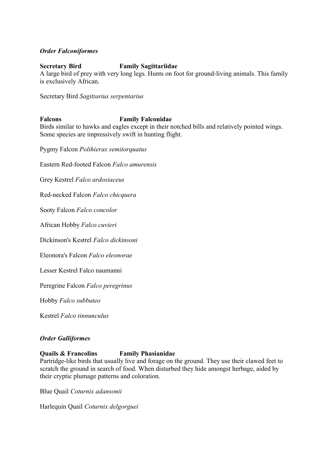## *Order Falconiformes*

## **Secretary Bird Family Sagittariidae**

A large bird of prey with very long legs. Hunts on foot for ground-living animals. This family is exclusively African.

Secretary Bird *Sagittarius serpentarius*

### **Falcons Family Falconidae**

Birds similar to hawks and eagles except in their notched bills and relatively pointed wings. Some species are impressively swift in hunting flight.

Pygmy Falcon *Polihierax semitorquatus*

Eastern Red-footed Falcon *Falco amurensis*

Grey Kestrel *Falco ardosiaceus*

Red-necked Falcon *Falco chicquera*

Sooty Falcon *Falco concolor*

African Hobby *Falco cuvieri*

Dickinson's Kestrel *Falco dickinsoni*

Eleonora's Falcon *Falco eleonorae*

Lesser Kestrel Falco naumanni

Peregrine Falcon *Falco peregrinus*

Hobby *Falco subbuteo*

Kestrel *Falco tinnunculus*

#### *Order Galliformes*

#### **Quails & Francolins Family Phasianidae**

Partridge-like birds that usually live and forage on the ground. They use their clawed feet to scratch the ground in search of food. When disturbed they hide amongst herbage, aided by their cryptic plumage patterns and coloration.

Blue Quail *Coturnix adansonii*

Harlequin Quail *Coturnix delgorguei*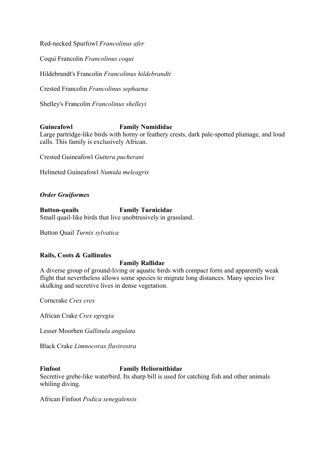Red-necked Spurfowl *Francolinus afer*

Coqui Francolin *Francolinus coqui*

Hildebrandt's Francolin *Francolinus hildebrandti*

Crested Francolin *Francolinus sephaena*

Shelley's Francolin *Francolinus shelleyi*

### **Guineafowl Family Numididae**

Large partridge-like birds with horny or feathery crests, dark pale-spotted plumage, and loud calls. This family is exclusively African.

Crested Guineafowl *Guttera pucherani*

Helmeted Guineafowl *Numida meleagris*

## *Order Gruiformes*

**Button-quails Family Turnicidae** Small quail-like birds that live unobtrusively in grassland.

Button Quail *Turnix sylvatica*

#### **Rails, Coots & Gallinules**

#### **Family Rallidae**

A diverse group of ground-living or aquatic birds with compact form and apparently weak flight that nevertheless allows some species to migrate long distances. Many species live skulking and secretive lives in dense vegetation.

Corncrake *Crex crex*

African Crake *Crex egregia*

Lesser Moorhen *Gallinula angulata*

Black Crake *Limnocorax flavirostra*

## **Finfoot Family Heliornithidae**

Secretive grebe-like waterbird. Its sharp bill is used for catching fish and other animals whiling diving.

African Finfoot *Podica senegalensis*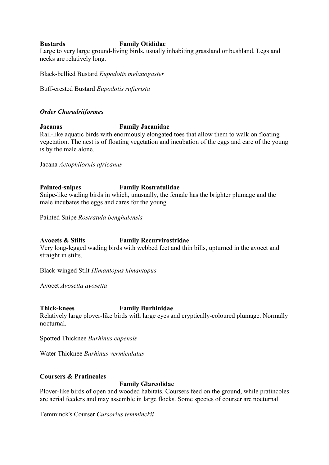## **Bustards Family Otididae**

Large to very large ground-living birds, usually inhabiting grassland or bushland. Legs and necks are relatively long.

Black-bellied Bustard *Eupodotis melanogaster*

Buff-crested Bustard *Eupodotis ruficrista*

### *Order Charadriiformes*

## **Jacanas Family Jacanidae**

Rail-like aquatic birds with enormously elongated toes that allow them to walk on floating vegetation. The nest is of floating vegetation and incubation of the eggs and care of the young is by the male alone.

Jacana *Actophilornis africanus*

## **Painted-snipes Family Rostratulidae**

Snipe-like wading birds in which, unusually, the female has the brighter plumage and the male incubates the eggs and cares for the young.

Painted Snipe *Rostratula benghalensis*

## **Avocets & Stilts Family Recurvirostridae**

Very long-legged wading birds with webbed feet and thin bills, upturned in the avocet and straight in stilts.

Black-winged Stilt *Himantopus himantopus*

Avocet *Avosetta avosetta*

#### **Thick-knees Family Burhinidae**

Relatively large plover-like birds with large eyes and cryptically-coloured plumage. Normally nocturnal.

Spotted Thicknee *Burhinus capensis*

Water Thicknee *Burhinus vermiculatus*

## **Coursers & Pratincoles**

## **Family Glareolidae**

Plover-like birds of open and wooded habitats. Coursers feed on the ground, while pratincoles are aerial feeders and may assemble in large flocks. Some species of courser are nocturnal.

Temminck's Courser *Cursorius temminckii*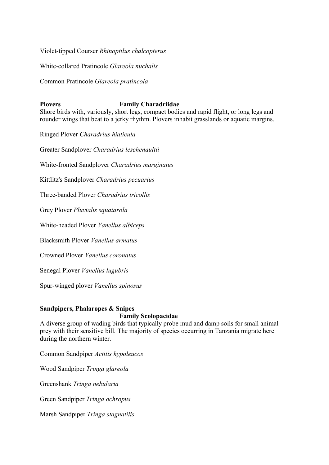Violet-tipped Courser *Rhinoptilus chalcopterus*

White-collared Pratincole *Glareola nuchalis*

Common Pratincole *Glareola pratincola*

## **Plovers Family Charadriidae**

Shore birds with, variously, short legs, compact bodies and rapid flight, or long legs and rounder wings that beat to a jerky rhythm. Plovers inhabit grasslands or aquatic margins.

Ringed Plover *Charadrius hiaticula*

Greater Sandplover *Charadrius leschenaultii*

White-fronted Sandplover *Charadrius marginatus*

Kittlitz's Sandplover *Charadrius pecuarius*

Three-banded Plover *Charadrius tricollis*

Grey Plover *Pluvialis squatarola*

White-headed Plover *Vanellus albiceps*

Blacksmith Plover *Vanellus armatus*

Crowned Plover *Vanellus coronatus*

Senegal Plover *Vanellus lugubris*

Spur-winged plover *Vanellus spinosus*

#### **Sandpipers, Phalaropes & Snipes**

### **Family Scolopacidae**

A diverse group of wading birds that typically probe mud and damp soils for small animal prey with their sensitive bill. The majority of species occurring in Tanzania migrate here during the northern winter.

Common Sandpiper *Actitis hypoleucos*

Wood Sandpiper *Tringa glareola*

Greenshank *Tringa nebularia*

Green Sandpiper *Tringa ochropus*

Marsh Sandpiper *Tringa stagnatilis*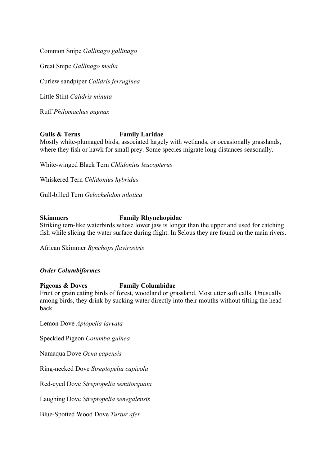Common Snipe *Gallinago gallinago*

Great Snipe *Gallinago media*

Curlew sandpiper *Calidris ferruginea*

Little Stint *Calidris minuta*

Ruff *Philomachus pugnax*

#### **Gulls & Terns Family Laridae**

Mostly white-plumaged birds, associated largely with wetlands, or occasionally grasslands, where they fish or hawk for small prey. Some species migrate long distances seasonally.

White-winged Black Tern *Chlidonius leucopterus*

Whiskered Tern *Chlidonius hybridus*

Gull-billed Tern *Gelochelidon nilotica*

### **Skimmers Family Rhynchopidae**

Striking tern-like waterbirds whose lower jaw is longer than the upper and used for catching fish while slicing the water surface during flight. In Selous they are found on the main rivers.

African Skimmer *Rynchops flavirostris*

#### *Order Columbiformes*

#### **Pigeons & Doves Family Columbidae**

Fruit or grain eating birds of forest, woodland or grassland. Most utter soft calls. Unusually among birds, they drink by sucking water directly into their mouths without tilting the head back.

Lemon Dove *Aplopelia larvata*

Speckled Pigeon *Columba guinea*

Namaqua Dove *Oena capensis*

Ring-necked Dove *Streptopelia capicola*

Red-eyed Dove *Streptopelia semitorquata*

Laughing Dove *Streptopelia senegalensis*

Blue-Spotted Wood Dove *Turtur afer*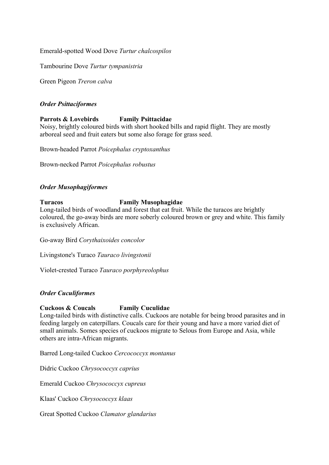Emerald-spotted Wood Dove *Turtur chalcospilos*

Tambourine Dove *Turtur tympanistria*

Green Pigeon *Treron calva*

### *Order Psittaciformes*

## **Parrots & Lovebirds Family Psittacidae**

Noisy, brightly coloured birds with short hooked bills and rapid flight. They are mostly arboreal seed and fruit eaters but some also forage for grass seed.

Brown-headed Parrot *Poicephalus cryptoxanthus*

Brown-necked Parrot *Poicephalus robustus*

### *Order Musophagiformes*

## **Turacos Family Musophagidae**

Long-tailed birds of woodland and forest that eat fruit. While the turacos are brightly coloured, the go-away birds are more soberly coloured brown or grey and white. This family is exclusively African.

Go-away Bird *Corythaixoides concolor*

Livingstone's Turaco *Tauraco livingstonii*

Violet-crested Turaco *Tauraco porphyreolophus*

#### *Order Cuculiformes*

#### **Cuckoos & Coucals Family Cuculidae**

Long-tailed birds with distinctive calls. Cuckoos are notable for being brood parasites and in feeding largely on caterpillars. Coucals care for their young and have a more varied diet of small animals. Somes species of cuckoos migrate to Selous from Europe and Asia, while others are intra-African migrants.

Barred Long-tailed Cuckoo *Cercococcyx montanus*

Didric Cuckoo *Chrysococcyx caprius*

Emerald Cuckoo *Chrysococcyx cupreus*

Klaas' Cuckoo *Chrysococcyx klaas*

Great Spotted Cuckoo *Clamator glandarius*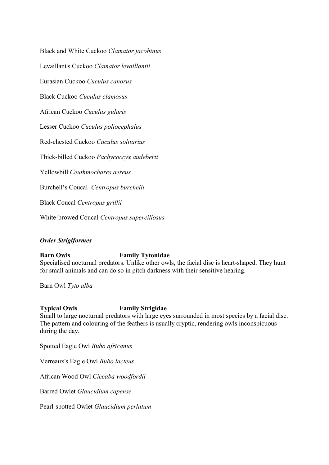Black and White Cuckoo *Clamator jacobinus*

Levaillant's Cuckoo *Clamator levaillantii*

Eurasian Cuckoo *Cuculus canorus*

Black Cuckoo *Cuculus clamosus*

African Cuckoo *Cuculus gularis*

Lesser Cuckoo *Cuculus poliocephalus*

Red-chested Cuckoo *Cuculus solitarius*

Thick-billed Cuckoo *Pachycoccyx audeberti*

Yellowbill *Ceuthmochares aereus*

Burchell's Coucal *Centropus burchelli*

Black Coucal *Centropus grillii*

White-browed Coucal *Centropus superciliosus*

#### *Order Strigiformes*

## **Barn Owls Family Tytonidae**

Specialised nocturnal predators. Unlike other owls, the facial disc is heart-shaped. They hunt for small animals and can do so in pitch darkness with their sensitive hearing.

Barn Owl *Tyto alba*

#### **Typical Owls Family Strigidae**

Small to large nocturnal predators with large eyes surrounded in most species by a facial disc. The pattern and colouring of the feathers is usually cryptic, rendering owls inconspicuous during the day.

Spotted Eagle Owl *Bubo africanus*

Verreaux's Eagle Owl *Bubo lacteus*

African Wood Owl *Ciccaba woodfordii*

Barred Owlet *Glaucidium capense*

Pearl-spotted Owlet *Glaucidium perlatum*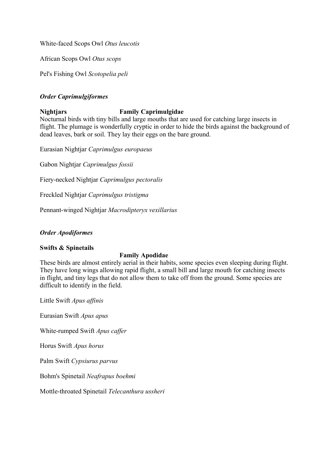White-faced Scops Owl *Otus leucotis*

African Scops Owl *Otus scops*

Pel's Fishing Owl *Scotopelia peli*

## *Order Caprimulgiformes*

## **Nightjars Family Caprimulgidae**

Nocturnal birds with tiny bills and large mouths that are used for catching large insects in flight. The plumage is wonderfully cryptic in order to hide the birds against the background of dead leaves, bark or soil. They lay their eggs on the bare ground.

Eurasian Nightjar *Caprimulgus europaeus*

Gabon Nightjar *Caprimulgus fossii*

Fiery-necked Nightjar *Caprimulgus pectoralis*

Freckled Nightjar *Caprimulgus tristigma*

Pennant-winged Nightjar *Macrodipteryx vexillarius*

## *Order Apodiformes*

#### **Swifts & Spinetails**

#### **Family Apodidae**

These birds are almost entirely aerial in their habits, some species even sleeping during flight. They have long wings allowing rapid flight, a small bill and large mouth for catching insects in flight, and tiny legs that do not allow them to take off from the ground. Some species are difficult to identify in the field.

Little Swift *Apus affinis*

Eurasian Swift *Apus apus*

White-rumped Swift *Apus caffer*

Horus Swift *Apus horus*

Palm Swift *Cypsiurus parvus*

Bohm's Spinetail *Neafrapus boehmi*

Mottle-throated Spinetail *Telecanthura ussheri*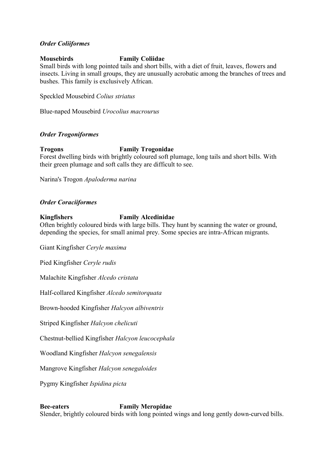### *Order Coliiformes*

### **Mousebirds Family Coliidae**

Small birds with long pointed tails and short bills, with a diet of fruit, leaves, flowers and insects. Living in small groups, they are unusually acrobatic among the branches of trees and bushes. This family is exclusively African.

Speckled Mousebird *Colius striatus*

Blue-naped Mousebird *Urocolius macrourus*

### *Order Trogoniformes*

#### **Trogons Family Trogonidae**

Forest dwelling birds with brightly coloured soft plumage, long tails and short bills. With their green plumage and soft calls they are difficult to see.

Narina's Trogon *Apaloderma narina*

## *Order Coraciiformes*

### **Kingfishers Family Alcedinidae**

Often brightly coloured birds with large bills. They hunt by scanning the water or ground, depending the species, for small animal prey. Some species are intra-African migrants.

Giant Kingfisher *Ceryle maxima*

Pied Kingfisher *Ceryle rudis*

Malachite Kingfisher *Alcedo cristata*

Half-collared Kingfisher *Alcedo semitorquata*

Brown-hooded Kingfisher *Halcyon albiventris*

Striped Kingfisher *Halcyon chelicuti*

Chestnut-bellied Kingfisher *Halcyon leucocephala*

Woodland Kingfisher *Halcyon senegalensis*

Mangrove Kingfisher *Halcyon senegaloides*

Pygmy Kingfisher *Ispidina picta*

## **Bee-eaters Family Meropidae**

Slender, brightly coloured birds with long pointed wings and long gently down-curved bills.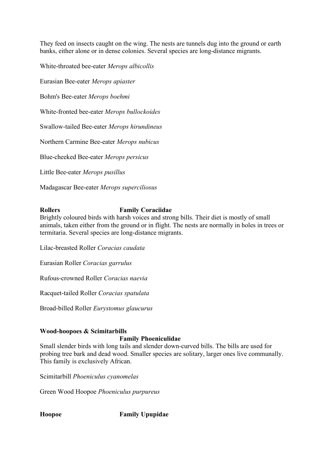They feed on insects caught on the wing. The nests are tunnels dug into the ground or earth banks, either alone or in dense colonies. Several species are long-distance migrants.

White-throated bee-eater *Merops albicollis*

Eurasian Bee-eater *Merops apiaster*

Bohm's Bee-eater *Merops boehmi*

White-fronted bee-eater *Merops bullockoides*

Swallow-tailed Bee-eater *Merops hirundineus*

Northern Carmine Bee-eater *Merops nubicus*

Blue-cheeked Bee-eater *Merops persicus*

Little Bee-eater *Merops pusillus*

Madagascar Bee-eater *Merops superciliosus*

## **Rollers Family Coraciidae**

Brightly coloured birds with harsh voices and strong bills. Their diet is mostly of small animals, taken either from the ground or in flight. The nests are normally in holes in trees or termitaria. Several species are long-distance migrants.

Lilac-breasted Roller *Coracias caudata*

Eurasian Roller *Coracias garrulus*

Rufous-crowned Roller *Coracias naevia*

Racquet-tailed Roller *Coracias spatulata*

Broad-billed Roller *Eurystomus glaucurus*

#### **Wood-hoopoes & Scimitarbills**

#### **Family Phoeniculidae**

Small slender birds with long tails and slender down-curved bills. The bills are used for probing tree bark and dead wood. Smaller species are solitary, larger ones live communally. This family is exclusively African.

Scimitarbill *Phoeniculus cyanomelas*

Green Wood Hoopoe *Phoeniculus purpureus*

**Hoopoe Family Upupidae**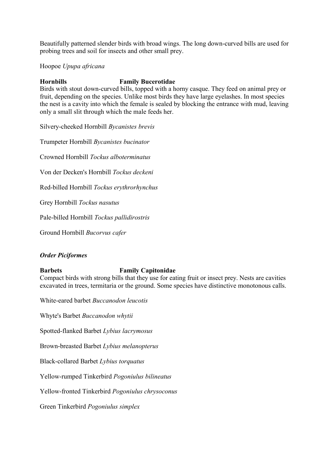Beautifully patterned slender birds with broad wings. The long down-curved bills are used for probing trees and soil for insects and other small prey.

### Hoopoe *Upupa africana*

## **Hornbills Family Bucerotidae**

Birds with stout down-curved bills, topped with a horny casque. They feed on animal prey or fruit, depending on the species. Unlike most birds they have large eyelashes. In most species the nest is a cavity into which the female is sealed by blocking the entrance with mud, leaving only a small slit through which the male feeds her.

Silvery-cheeked Hornbill *Bycanistes brevis*

Trumpeter Hornbill *Bycanistes bucinator*

Crowned Hornbill *Tockus alboterminatus*

Von der Decken's Hornbill *Tockus deckeni*

Red-billed Hornbill *Tockus erythrorhynchus*

Grey Hornbill *Tockus nasutus*

Pale-billed Hornbill *Tockus pallidirostris*

Ground Hornbill *Bucorvus cafer*

#### *Order Piciformes*

## **Barbets Family Capitonidae**

Compact birds with strong bills that they use for eating fruit or insect prey. Nests are cavities excavated in trees, termitaria or the ground. Some species have distinctive monotonous calls.

White-eared barbet *Buccanodon leucotis*

Whyte's Barbet *Buccanodon whytii*

Spotted-flanked Barbet *Lybius lacrymosus*

Brown-breasted Barbet *Lybius melanopterus*

Black-collared Barbet *Lybius torquatus*

Yellow-rumped Tinkerbird *Pogoniulus bilineatus*

Yellow-fronted Tinkerbird *Pogoniulus chrysoconus*

Green Tinkerbird *Pogoniulus simplex*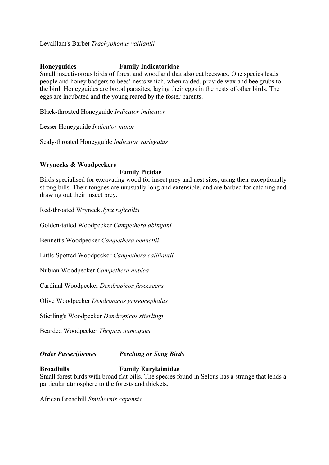Levaillant's Barbet *Trachyphonus vaillantii*

## **Honeyguides Family Indicatoridae**

Small insectivorous birds of forest and woodland that also eat beeswax. One species leads people and honey badgers to bees' nests which, when raided, provide wax and bee grubs to the bird. Honeyguides are brood parasites, laying their eggs in the nests of other birds. The eggs are incubated and the young reared by the foster parents.

Black-throated Honeyguide *Indicator indicator*

Lesser Honeyguide *Indicator minor*

Scaly-throated Honeyguide *Indicator variegatus*

## **Wrynecks & Woodpeckers**

#### **Family Picidae**

Birds specialised for excavating wood for insect prey and nest sites, using their exceptionally strong bills. Their tongues are unusually long and extensible, and are barbed for catching and drawing out their insect prey.

Red-throated Wryneck *Jynx ruficollis*

Golden-tailed Woodpecker *Campethera abingoni*

Bennett's Woodpecker *Campethera bennettii*

Little Spotted Woodpecker *Campethera cailliautii*

Nubian Woodpecker *Campethera nubica*

Cardinal Woodpecker *Dendropicos fuscescens*

Olive Woodpecker *Dendropicos griseocephalus*

Stierling's Woodpecker *Dendropicos stierlingi*

Bearded Woodpecker *Thripias namaquus*

*Order Passeriformes Perching or Song Birds*

## **Broadbills Family Eurylaimidae**

Small forest birds with broad flat bills. The species found in Selous has a strange that lends a particular atmosphere to the forests and thickets.

African Broadbill *Smithornis capensis*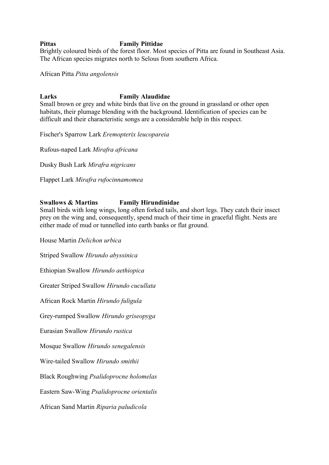## **Pittas Family Pittidae**

Brightly coloured birds of the forest floor. Most species of Pitta are found in Southeast Asia. The African species migrates north to Selous from southern Africa.

African Pitta *Pitta angolensis*

## **Larks Family Alaudidae**

Small brown or grey and white birds that live on the ground in grassland or other open habitats, their plumage blending with the background. Identification of species can be difficult and their characteristic songs are a considerable help in this respect.

Fischer's Sparrow Lark *Eremopterix leucopareia*

Rufous-naped Lark *Mirafra africana*

Dusky Bush Lark *Mirafra nigricans*

Flappet Lark *Mirafra rufocinnamomea*

## **Swallows & Martins Family Hirundinidae**

Small birds with long wings, long often forked tails, and short legs. They catch their insect prey on the wing and, consequently, spend much of their time in graceful flight. Nests are either made of mud or tunnelled into earth banks or flat ground.

House Martin *Delichon urbica* Striped Swallow *Hirundo abyssinica* Ethiopian Swallow *Hirundo aethiopica* Greater Striped Swallow *Hirundo cucullata* African Rock Martin *Hirundo fuligula* Grey-rumped Swallow *Hirundo griseopyga* Eurasian Swallow *Hirundo rustica* Mosque Swallow *Hirundo senegalensis* Wire-tailed Swallow *Hirundo smithii* Black Roughwing *Psalidoprocne holomelas* Eastern Saw-Wing *Psalidoprocne orientalis* African Sand Martin *Riparia paludicola*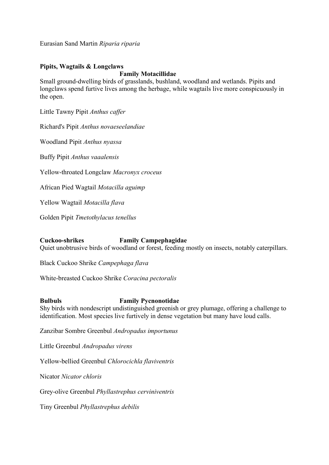Eurasian Sand Martin *Riparia riparia*

## **Pipits, Wagtails & Longclaws**

#### **Family Motacillidae**

Small ground-dwelling birds of grasslands, bushland, woodland and wetlands. Pipits and longclaws spend furtive lives among the herbage, while wagtails live more conspicuously in the open.

Little Tawny Pipit *Anthus caffer*

Richard's Pipit *Anthus novaeseelandiae*

Woodland Pipit *Anthus nyassa*

Buffy Pipit *Anthus vaaalensis*

Yellow-throated Longclaw *Macronyx croceus*

African Pied Wagtail *Motacilla aguimp*

Yellow Wagtail *Motacilla flava*

Golden Pipit *Tmetothylacus tenellus*

## **Cuckoo-shrikes Family Campephagidae**

Quiet unobtrusive birds of woodland or forest, feeding mostly on insects, notably caterpillars.

Black Cuckoo Shrike *Campephaga flava*

White-breasted Cuckoo Shrike *Coracina pectoralis*

## **Bulbuls Family Pycnonotidae**

Shy birds with nondescript undistinguished greenish or grey plumage, offering a challenge to identification. Most species live furtively in dense vegetation but many have loud calls.

Zanzibar Sombre Greenbul *Andropadus importunus*

Little Greenbul *Andropadus virens*

Yellow-bellied Greenbul *Chlorocichla flaviventris*

Nicator *Nicator chloris*

Grey-olive Greenbul *Phyllastrephus cerviniventris*

Tiny Greenbul *Phyllastrephus debilis*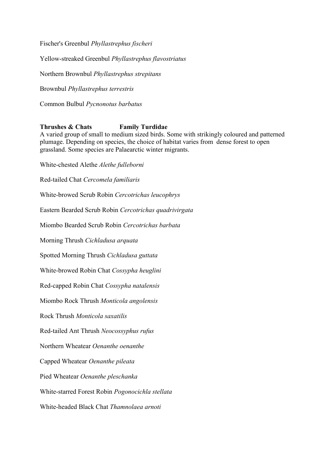Fischer's Greenbul *Phyllastrephus fischeri*

Yellow-streaked Greenbul *Phyllastrephus flavostriatus*

Northern Brownbul *Phyllastrephus strepitans*

Brownbul *Phyllastrephus terrestris*

Common Bulbul *Pycnonotus barbatus*

### **Thrushes & Chats Family Turdidae**

A varied group of small to medium sized birds. Some with strikingly coloured and patterned plumage. Depending on species, the choice of habitat varies from dense forest to open grassland. Some species are Palaearctic winter migrants.

White-chested Alethe *Alethe fulleborni*

Red-tailed Chat *Cercomela familiaris*

White-browed Scrub Robin *Cercotrichas leucophrys*

Eastern Bearded Scrub Robin *Cercotrichas quadrivirgata*

Miombo Bearded Scrub Robin *Cercotrichas barbata*

Morning Thrush *Cichladusa arquata*

Spotted Morning Thrush *Cichladusa guttata*

White-browed Robin Chat *Cossypha heuglini*

Red-capped Robin Chat *Cossypha natalensis*

Miombo Rock Thrush *Monticola angolensis*

Rock Thrush *Monticola saxatilis*

Red-tailed Ant Thrush *Neocossyphus rufus*

Northern Wheatear *Oenanthe oenanthe*

Capped Wheatear *Oenanthe pileata*

Pied Wheatear *Oenanthe pleschanka*

White-starred Forest Robin *Pogonocichla stellata*

White-headed Black Chat *Thamnolaea arnoti*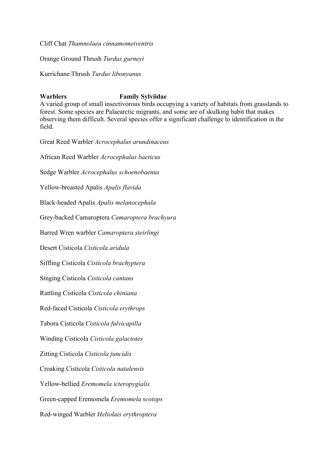Cliff Chat *Thamnolaea cinnamomeiventris*

Orange Ground Thrush *Turdus gurneyi*

Kurrichane Thrush *Turdus libonyanus*

## **Warblers Family Sylviidae**

A varied group of small insectivorous birds occupying a variety of habitats from grasslands to forest. Some species are Palaearctic migrants, and some are of skulking habit that makes observing them difficult. Several species offer a significant challenge to identification in the field.

Great Reed Warbler *Acrocephalus arundinaceus* African Reed Warbler *Acrocephalus baeticus* Sedge Warbler *Acrocephalus schoenobaenus* Yellow-breasted Apalis *Apalis flavida* Black-headed Apalis *Apalis melanocephala* Grey-backed Camaroptera *Camaroptera brachyura* Barred Wren warbler *Camaroptera steirlingi* Desert Cisticola *Cisticola aridula* Siffling Cisticola *Cisticola brachyptera* Singing Cisticola *Cisticola cantans* Rattling Cisticola *Cisticola chiniana* Red-faced Cisticola *Cisticola erythrops* Tabora Cisticola *Cisticola fulvicapilla* Winding Cisticola *Cisticola galactotes* Zitting Cisticola *Cisticola juncidis* Croaking Cisticola *Cisticola natalensis* Yellow-bellied *Eremomela icteropygialis* Green-capped Eremomela *Eremomela scotops* Red-winged Warbler *Heliolais erythroptera*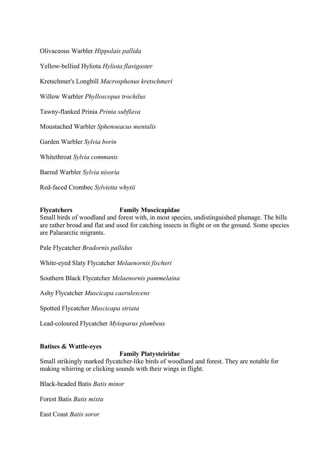Olivaceous Warbler *Hippolais pallida* Yellow-bellied Hyliota *Hyliota flavigaster* Kretschmer's Longbill *Macrosphenus kretschmeri* Willow Warbler *Phylloscopus trochilus* Tawny-flanked Prinia *Prinia subflava* Moustached Warbler *Sphenoeacus mentalis* Garden Warbler *Sylvia borin* Whitethroat *Sylvia communis* Barred Warbler *Sylvia nisoria* Red-faced Crombec *Sylvietta whytii*

## **Flycatchers Family Muscicapidae**

Small birds of woodland and forest with, in most species, undistinguished plumage. The bills are rather broad and flat and used for catching insects in flight or on the ground. Some species are Palaearctic migrants.

Pale Flycatcher *Bradornis pallidus*

White-eyed Slaty Flycatcher *Melaenornis fischeri*

Southern Black Flycatcher *Melaenornis pammelaina*

Ashy Flycatcher *Muscicapa caerulescens*

Spotted Flycatcher *Muscicapa striata*

Lead-coloured Flycatcher *Myioparus plumbeus*

## **Batises & Wattle-eyes**

## **Family Platysteiridae**

Small strikingly marked flycatcher-like birds of woodland and forest. They are notable for making whirring or clicking sounds with their wings in flight.

Black-headed Batis *Batis minor*

Forest Batis *Batis mixta*

East Coast *Batis soror*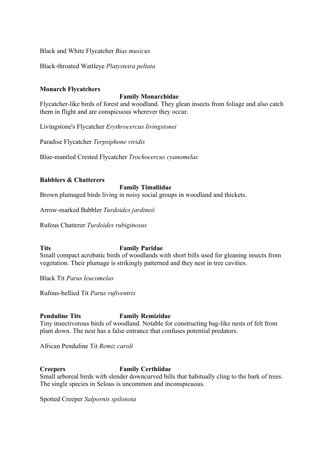Black and White Flycatcher *Bias musicus*

Black-throated Wattleye *Platysteira peltata*

## **Monarch Flycatchers**

### **Family Monarchidae**

Flycatcher-like birds of forest and woodland. They glean insects from foliage and also catch them in flight and are conspicuous wherever they occur.

Livingstone's Flycatcher *Erythrocercus livingstonei*

Paradise Flycatcher *Terpsiphone viridis*

Blue-mantled Crested Flycatcher *Trochocercus cyanomelas*

### **Babblers & Chatterers**

## **Family Timaliidae**

Brown plumaged birds living in noisy social groups in woodland and thickets.

Arrow-marked Babbler *Turdoides jardineii*

Rufous Chatterer *Turdoides rubiginosus*

## **Tits Family Paridae**

Small compact acrobatic birds of woodlands with short bills used for gleaning insects from vegetation. Their plumage is strikingly patterned and they nest in tree cavities.

Black Tit *Parus leucomelas*

Rufous-bellied Tit *Parus rufiventris*

## **Penduline Tits Family Remizidae**

Tiny insectivorous birds of woodland. Notable for constructing bag-like nests of felt from plant down. The nest has a false entrance that confuses potential predators.

African Penduline Tit *Remiz caroli*

## **Creepers Family Certhiidae**

Small arboreal birds with slender downcurved bills that habitually cling to the bark of trees. The single species in Selous is uncommon and inconspicuous.

Spotted Creeper *Salpornis spilonota*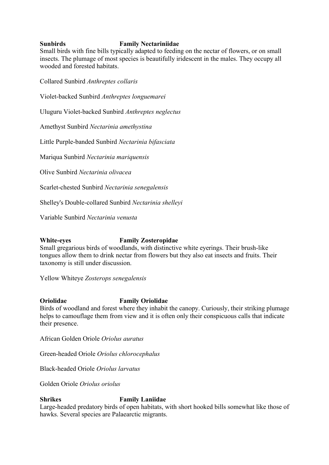## **Sunbirds Family Nectariniidae**

Small birds with fine bills typically adapted to feeding on the nectar of flowers, or on small insects. The plumage of most species is beautifully iridescent in the males. They occupy all wooded and forested habitats.

Collared Sunbird *Anthreptes collaris*

Violet-backed Sunbird *Anthreptes longuemarei*

Uluguru Violet-backed Sunbird *Anthreptes neglectus*

Amethyst Sunbird *Nectarinia amethystina*

Little Purple-banded Sunbird *Nectarinia bifasciata*

Mariqua Sunbird *Nectarinia mariquensis*

Olive Sunbird *Nectarinia olivacea*

Scarlet-chested Sunbird *Nectarinia senegalensis*

Shelley's Double-collared Sunbird *Nectarinia shelleyi*

Variable Sunbird *Nectarinia venusta*

## **White-eyes Family Zosteropidae**

Small gregarious birds of woodlands, with distinctive white eyerings. Their brush-like tongues allow them to drink nectar from flowers but they also eat insects and fruits. Their taxonomy is still under discussion.

Yellow Whiteye *Zosterops senegalensis*

#### **Oriolidae Family Oriolidae**

Birds of woodland and forest where they inhabit the canopy. Curiously, their striking plumage helps to camouflage them from view and it is often only their conspicuous calls that indicate their presence.

African Golden Oriole *Oriolus auratus*

Green-headed Oriole *Oriolus chlorocephalus*

Black-headed Oriole *Oriolus larvatus*

Golden Oriole *Oriolus oriolus*

## **Shrikes Family Laniidae**

Large-headed predatory birds of open habitats, with short hooked bills somewhat like those of hawks. Several species are Palaearctic migrants.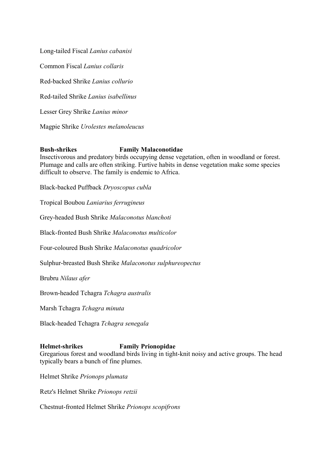Long-tailed Fiscal *Lanius cabanisi* Common Fiscal *Lanius collaris* Red-backed Shrike *Lanius collurio* Red-tailed Shrike *Lanius isabellinus* Lesser Grey Shrike *Lanius minor*

Magpie Shrike *Urolestes melanoleucus*

## **Bush-shrikes Family Malaconotidae**

Insectivorous and predatory birds occupying dense vegetation, often in woodland or forest. Plumage and calls are often striking. Furtive habits in dense vegetation make some species difficult to observe. The family is endemic to Africa.

Black-backed Puffback *Dryoscopus cubla*

Tropical Boubou *Laniarius ferrugineus*

Grey-headed Bush Shrike *Malaconotus blanchoti*

Black-fronted Bush Shrike *Malaconotus multicolor*

Four-coloured Bush Shrike *Malaconotus quadricolor*

Sulphur-breasted Bush Shrike *Malaconotus sulphureopectus*

Brubru *Nilaus afer*

Brown-headed Tchagra *Tchagra australis*

Marsh Tchagra *Tchagra minuta*

Black-headed Tchagra *Tchagra senegala*

#### **Helmet-shrikes Family Prionopidae**

Gregarious forest and woodland birds living in tight-knit noisy and active groups. The head typically bears a bunch of fine plumes.

Helmet Shrike *Prionops plumata*

Retz's Helmet Shrike *Prionops retzii*

Chestnut-fronted Helmet Shrike *Prionops scopifrons*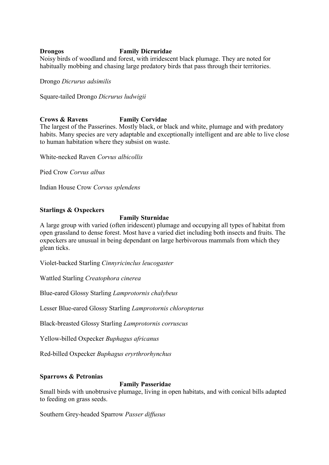## **Drongos Family Dicruridae**

Noisy birds of woodland and forest, with irridescent black plumage. They are noted for habitually mobbing and chasing large predatory birds that pass through their territories.

Drongo *Dicrurus adsimilis*

Square-tailed Drongo *Dicrurus ludwigii*

#### **Crows & Ravens Family Corvidae**

The largest of the Passerines. Mostly black, or black and white, plumage and with predatory habits. Many species are very adaptable and exceptionally intelligent and are able to live close to human habitation where they subsist on waste.

White-necked Raven *Corvus albicollis*

Pied Crow *Corvus albus*

Indian House Crow *Corvus splendens*

#### **Starlings & Oxpeckers**

#### **Family Sturnidae**

A large group with varied (often iridescent) plumage and occupying all types of habitat from open grassland to dense forest. Most have a varied diet including both insects and fruits. The oxpeckers are unusual in being dependant on large herbivorous mammals from which they glean ticks.

Violet-backed Starling *Cinnyricinclus leucogaster*

Wattled Starling *Creatophora cinerea*

Blue-eared Glossy Starling *Lamprotornis chalybeus*

Lesser Blue-eared Glossy Starling *Lamprotornis chloropterus*

Black-breasted Glossy Starling *Lamprotornis corruscus*

Yellow-billed Oxpecker *Buphagus africanus*

Red-billed Oxpecker *Buphagus eryrthrorhynchus*

#### **Sparrows & Petronias**

## **Family Passeridae**

Small birds with unobtrusive plumage, living in open habitats, and with conical bills adapted to feeding on grass seeds.

Southern Grey-headed Sparrow *Passer diffusus*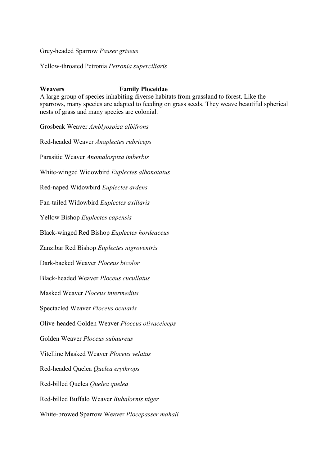Grey-headed Sparrow *Passer griseus*

Yellow-throated Petronia *Petronia superciliaris*

## **Weavers Family Ploceidae**

A large group of species inhabiting diverse habitats from grassland to forest. Like the sparrows, many species are adapted to feeding on grass seeds. They weave beautiful spherical nests of grass and many species are colonial.

Grosbeak Weaver *Amblyospiza albifrons* Red-headed Weaver *Anaplectes rubriceps* Parasitic Weaver *Anomalospiza imberbis* White-winged Widowbird *Euplectes albonotatus* Red-naped Widowbird *Euplectes ardens* Fan-tailed Widowbird *Euplectes axillaris* Yellow Bishop *Euplectes capensis* Black-winged Red Bishop *Euplectes hordeaceus* Zanzibar Red Bishop *Euplectes nigroventris* Dark-backed Weaver *Ploceus bicolor* Black-headed Weaver *Ploceus cucullatus* Masked Weaver *Ploceus intermedius* Spectacled Weaver *Ploceus ocularis* Olive-headed Golden Weaver *Ploceus olivaceiceps* Golden Weaver *Ploceus subaureus* Vitelline Masked Weaver *Ploceus velatus* Red-headed Quelea *Quelea erythrops* Red-billed Quelea *Quelea quelea* Red-billed Buffalo Weaver *Bubalornis niger* White-browed Sparrow Weaver *Plocepasser mahali*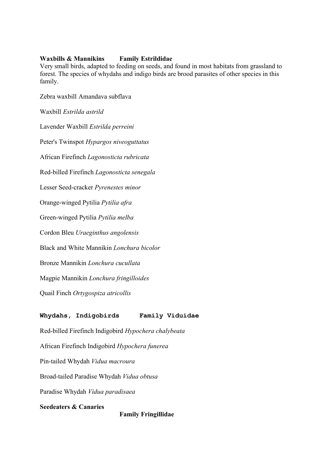### **Waxbills & Mannikins Family Estrildidae**

Very small birds, adapted to feeding on seeds, and found in most habitats from grassland to forest. The species of whydahs and indigo birds are brood parasites of other species in this family.

Zebra waxbill Amandava subflava

Waxbill *Estrilda astrild*

Lavender Waxbill *Estrilda perreini* Peter's Twinspot *Hypargos niveoguttatus* African Firefinch *Lagonosticta rubricata* Red-billed Firefinch *Lagonosticta senegala* Lesser Seed-cracker *Pyrenestes minor* Orange-winged Pytilia *Pytilia afra* Green-winged Pytilia *Pytilia melba* Cordon Bleu *Uraeginthus angolensis* Black and White Mannikin *Lonchura bicolor* Bronze Mannikin *Lonchura cucullata* Magpie Mannikin *Lonchura fringilloides* Quail Finch *Ortygospiza atricollis*

## **Whydahs, Indigobirds Family Viduidae**

Red-billed Firefinch Indigobird *Hypochera chalybeata*

African Firefinch Indigobird *Hypochera funerea*

Pin-tailed Whydah *Vidua macroura*

Broad-tailed Paradise Whydah *Vidua obtusa*

Paradise Whydah *Vidua paradisaea*

**Seedeaters & Canaries**

**Family Fringillidae**